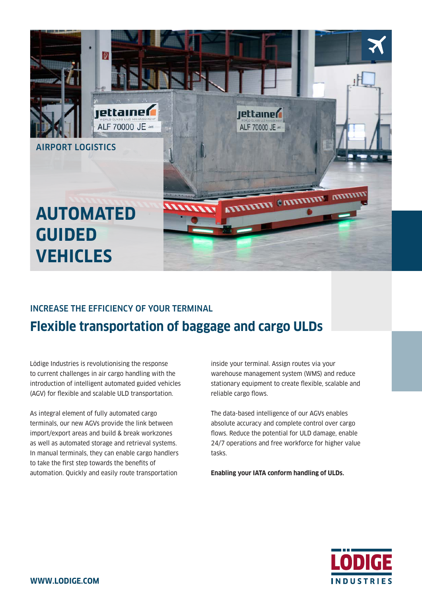

## INCREASE THE EFFICIENCY OF YOUR TERMINAL **Flexible transportation of baggage and cargo ULDs**

Lödige Industries is revolutionising the response to current challenges in air cargo handling with the introduction of intelligent automated guided vehicles (AGV) for flexible and scalable ULD transportation.

As integral element of fully automated cargo terminals, our new AGVs provide the link between import/export areas and build & break workzones as well as automated storage and retrieval systems. In manual terminals, they can enable cargo handlers to take the first step towards the benefits of automation. Quickly and easily route transportation

inside your terminal. Assign routes via your warehouse management system (WMS) and reduce stationary equipment to create flexible, scalable and reliable cargo flows.

The data-based intelligence of our AGVs enables absolute accuracy and complete control over cargo flows. Reduce the potential for ULD damage, enable 24/7 operations and free workforce for higher value tasks.

**Enabling your IATA conform handling of ULDs.**

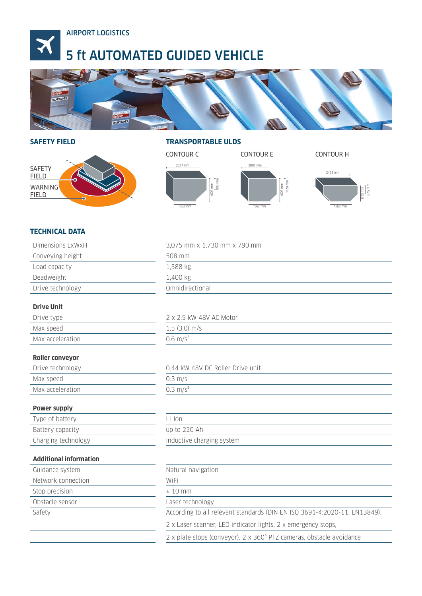

# 5 ft AUTOMATED GUIDED VEHICLE



#### **SAFETY FIELD**



#### **TRANSPORTABLE ULDS**



## **TECHNICAL DATA**

| Dimensions LxWxH              | 3,075 mm x 1,730 mm x 790 mm                                              |  |  |
|-------------------------------|---------------------------------------------------------------------------|--|--|
| Conveying height              | 508 mm                                                                    |  |  |
| Load capacity                 | 1,588 kg                                                                  |  |  |
| Deadweight                    | 1,400 kg                                                                  |  |  |
| Drive technology              | Omnidirectional                                                           |  |  |
|                               |                                                                           |  |  |
| <b>Drive Unit</b>             |                                                                           |  |  |
| Drive type                    | 2 x 2.5 kW 48V AC Motor                                                   |  |  |
| Max speed                     | $1.5$ (3.0) m/s                                                           |  |  |
| Max acceleration              | $0.6 \, \text{m/s}^2$                                                     |  |  |
|                               |                                                                           |  |  |
| <b>Roller conveyor</b>        |                                                                           |  |  |
| Drive technology              | 0.44 kW 48V DC Roller Drive unit                                          |  |  |
| Max speed                     | $0.3$ m/s                                                                 |  |  |
| Max acceleration              | $0.3 \text{ m/s}^2$                                                       |  |  |
|                               |                                                                           |  |  |
| Power supply                  |                                                                           |  |  |
| Type of battery               | $Li$ -lon                                                                 |  |  |
| Battery capacity              | up to 220 Ah                                                              |  |  |
| Charging technology           | Inductive charging system                                                 |  |  |
|                               |                                                                           |  |  |
| <b>Additional information</b> |                                                                           |  |  |
| Guidance system               | Natural navigation                                                        |  |  |
| Network connection            | WiFi                                                                      |  |  |
| Stop precision                | $± 10$ mm                                                                 |  |  |
| Obstacle sensor               | Laser technology                                                          |  |  |
| Safety                        | According to all relevant standards (DIN EN ISO 3691-4:2020-11, EN13849), |  |  |
|                               | 2 x Laser scanner, LED indicator lights, 2 x emergency stops,             |  |  |
|                               | 2 x plate stops (conveyor), 2 x 360° PTZ cameras, obstacle avoidance      |  |  |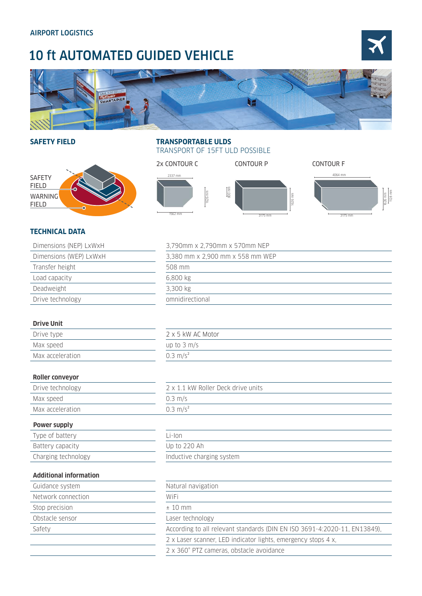# 10 ft AUTOMATED GUIDED VEHICLE





### **SAFETY FIELD**



### **TRANSPORTABLE ULDS**  TRANSPORT OF 15FT ULD POSSIBLE



## **TECHNICAL DATA**

| Dimensions (NEP) LxWxH                                     | 3,790mm x 2,790mm x 570mm NEP |  |  |
|------------------------------------------------------------|-------------------------------|--|--|
| Dimensions (WEP) LxWxH<br>3,380 mm x 2,900 mm x 558 mm WEP |                               |  |  |
| Transfer height                                            | 508 mm                        |  |  |
| Load capacity                                              | 6,800 kg                      |  |  |
| Deadweight                                                 | 3,300 kg                      |  |  |
| Drive technology                                           | omnidirectional               |  |  |
|                                                            |                               |  |  |
| <b>Drive Unit</b>                                          |                               |  |  |
| Drive type                                                 | 2 x 5 kW AC Motor             |  |  |
| Max speed                                                  | up to $3 \text{ m/s}$         |  |  |

| Max speed        | Up to $\frac{1}{2}$ m/s |
|------------------|-------------------------|
| Max acceleration | $0.3 \text{ m/s}^2$     |
|                  |                         |

#### **Roller conveyor**

| Drive technology | 2 x 1.1 kW Roller Deck drive units |  |  |
|------------------|------------------------------------|--|--|
| Max speed        | $0.3$ m/s                          |  |  |
| Max acceleration | $0.3 \text{ m/s}^2$                |  |  |
|                  |                                    |  |  |

### **Power supply**

| Type of battery     | $l - \n0$                 |  |  |
|---------------------|---------------------------|--|--|
| Battery capacity    | Up to 220 Ah              |  |  |
| Charging technology | Inductive charging system |  |  |
|                     |                           |  |  |

| l i-Ion                   |  |  |  |
|---------------------------|--|--|--|
| Up to 220 Ah              |  |  |  |
| Inductive charging system |  |  |  |

#### **Additional information**

| Guidance system    | Natural navigation  |
|--------------------|---------------------|
| Network connection | WiFi                |
| Stop precision     | $±$ 10 mm           |
| Obstacle sensor    | Laser technology    |
| Safety             | According to all re |
|                    | 2 x Laser scanner   |

| Auuruvilai IIIIvi IIIauvil |                                                                           |  |  |
|----------------------------|---------------------------------------------------------------------------|--|--|
| Guidance system            | Natural navigation                                                        |  |  |
| Network connection         | WiFi                                                                      |  |  |
| Stop precision             | $± 10$ mm                                                                 |  |  |
| Obstacle sensor            | Laser technology                                                          |  |  |
| Safety                     | According to all relevant standards (DIN EN ISO 3691-4:2020-11, EN13849), |  |  |
|                            | 2 x Laser scanner, LED indicator lights, emergency stops 4 x,             |  |  |
|                            | 2 x 360° PTZ cameras, obstacle avoidance                                  |  |  |